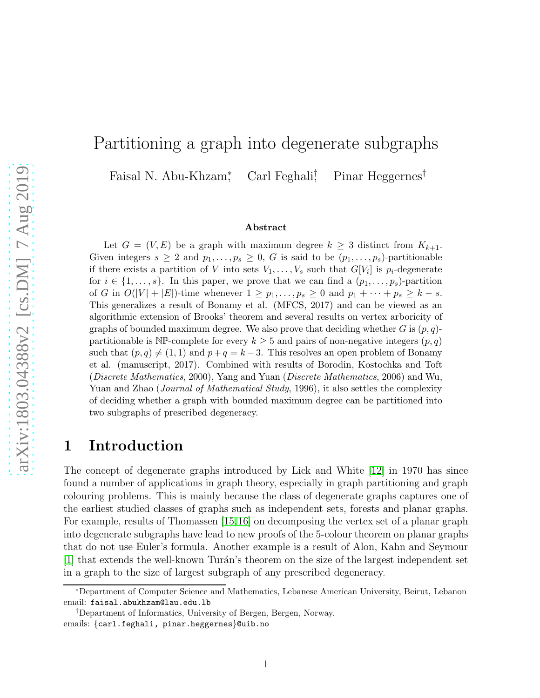### Partitioning a graph into degenerate subgraphs Faisal N. Abu-Khzam<sup>∗</sup> Carl Feghali<sup>†</sup> Pinar Heggernes<sup>†</sup>

#### Abstract

Let  $G = (V, E)$  be a graph with maximum degree  $k \geq 3$  distinct from  $K_{k+1}$ . Given integers  $s \geq 2$  and  $p_1, \ldots, p_s \geq 0$ , G is said to be  $(p_1, \ldots, p_s)$ -partitionable if there exists a partition of V into sets  $V_1, \ldots, V_s$  such that  $G[V_i]$  is  $p_i$ -degenerate for  $i \in \{1, \ldots, s\}$ . In this paper, we prove that we can find a  $(p_1, \ldots, p_s)$ -partition of G in  $O(|V| + |E|)$ -time whenever  $1 \geq p_1, \ldots, p_s \geq 0$  and  $p_1 + \cdots + p_s \geq k - s$ . This generalizes a result of Bonamy et al. (MFCS, 2017) and can be viewed as an algorithmic extension of Brooks' theorem and several results on vertex arboricity of graphs of bounded maximum degree. We also prove that deciding whether  $G$  is  $(p, q)$ partitionable is  $\mathbb{NP}$ -complete for every  $k \geq 5$  and pairs of non-negative integers  $(p, q)$ such that  $(p, q) \neq (1, 1)$  and  $p+q = k-3$ . This resolves an open problem of Bonamy et al. (manuscript, 2017). Combined with results of Borodin, Kostochka and Toft (Discrete Mathematics, 2000), Yang and Yuan (Discrete Mathematics, 2006) and Wu, Yuan and Zhao (*Journal of Mathematical Study*, 1996), it also settles the complexity of deciding whether a graph with bounded maximum degree can be partitioned into two subgraphs of prescribed degeneracy.

### 1 Introduction

The concept of degenerate graphs introduced by Lick and White [\[12\]](#page-14-0) in 1970 has since found a number of applications in graph theory, especially in graph partitioning and graph colouring problems. This is mainly because the class of degenerate graphs captures one of the earliest studied classes of graphs such as independent sets, forests and planar graphs. For example, results of Thomassen [\[15,](#page-14-1)[16\]](#page-15-0) on decomposing the vertex set of a planar graph into degenerate subgraphs have lead to new proofs of the 5-colour theorem on planar graphs that do not use Euler's formula. Another example is a result of Alon, Kahn and Seymour  $[1]$  that extends the well-known Turán's theorem on the size of the largest independent set in a graph to the size of largest subgraph of any prescribed degeneracy.

<sup>∗</sup>Department of Computer Science and Mathematics, Lebanese American University, Beirut, Lebanon email: faisal.abukhzam@lau.edu.lb

<sup>†</sup>Department of Informatics, University of Bergen, Bergen, Norway. emails: {carl.feghali, pinar.heggernes}@uib.no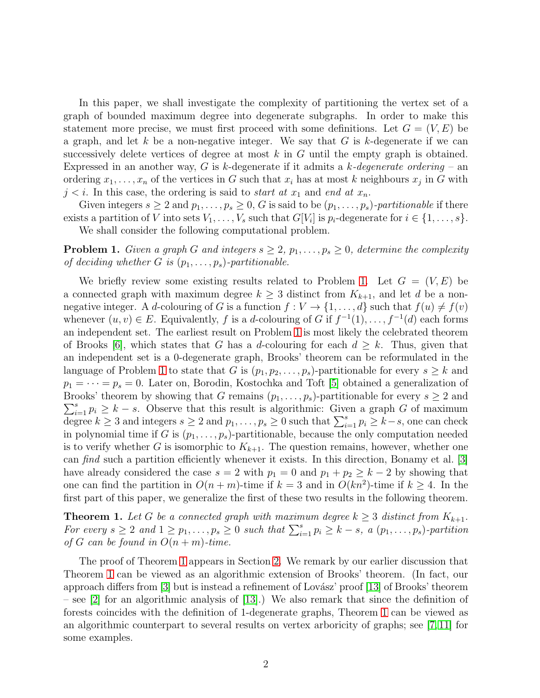In this paper, we shall investigate the complexity of partitioning the vertex set of a graph of bounded maximum degree into degenerate subgraphs. In order to make this statement more precise, we must first proceed with some definitions. Let  $G = (V, E)$  be a graph, and let k be a non-negative integer. We say that  $G$  is k-degenerate if we can successively delete vertices of degree at most  $k$  in  $G$  until the empty graph is obtained. Expressed in an another way, G is k-degenerate if it admits a k*-degenerate ordering* – an ordering  $x_1, \ldots, x_n$  of the vertices in G such that  $x_i$  has at most k neighbours  $x_j$  in G with  $j < i$ . In this case, the ordering is said to *start at*  $x_1$  and *end at*  $x_n$ .

Given integers  $s \geq 2$  and  $p_1, \ldots, p_s \geq 0$ , G is said to be  $(p_1, \ldots, p_s)$ -partitionable if there exists a partition of V into sets  $V_1, \ldots, V_s$  such that  $G[V_i]$  is  $p_i$ -degenerate for  $i \in \{1, \ldots, s\}$ . We shall consider the following computational problem.

<span id="page-1-0"></span>**Problem 1.** *Given a graph G and integers*  $s \geq 2$ ,  $p_1, \ldots, p_s \geq 0$ , *determine the complexity of deciding whether*  $G$  *is*  $(p_1, \ldots, p_s)$ *-partitionable.* 

We briefly review some existing results related to Problem [1.](#page-1-0) Let  $G = (V, E)$  be a connected graph with maximum degree  $k \geq 3$  distinct from  $K_{k+1}$ , and let d be a nonnegative integer. A d-colouring of G is a function  $f: V \to \{1, \ldots, d\}$  such that  $f(u) \neq f(v)$ whenever  $(u, v) \in E$ . Equivalently, f is a d-colouring of G if  $f^{-1}(1), \ldots, f^{-1}(d)$  each forms an independent set. The earliest result on Problem [1](#page-1-0) is most likely the celebrated theorem of Brooks [\[6\]](#page-14-3), which states that G has a d-colouring for each  $d \geq k$ . Thus, given that an independent set is a 0-degenerate graph, Brooks' theorem can be reformulated in the language of Problem [1](#page-1-0) to state that G is  $(p_1, p_2, \ldots, p_s)$ -partitionable for every  $s \geq k$  and  $p_1 = \cdots = p_s = 0$ . Later on, Borodin, Kostochka and Toft [\[5\]](#page-14-4) obtained a generalization of  $\sum_{i=1}^{s} p_i \geq k - s$ . Observe that this result is algorithmic: Given a graph G of maximum Brooks' theorem by showing that G remains  $(p_1, \ldots, p_s)$ -partitionable for every  $s \geq 2$  and degree  $k \ge 3$  and integers  $s \ge 2$  and  $p_1, \ldots, p_s \ge 0$  such that  $\sum_{i=1}^s p_i \ge k-s$ , one can check in polynomial time if G is  $(p_1, \ldots, p_s)$ -partitionable, because the only computation needed is to verify whether G is isomorphic to  $K_{k+1}$ . The question remains, however, whether one can *find* such a partition efficiently whenever it exists. In this direction, Bonamy et al. [\[3\]](#page-14-5) have already considered the case  $s = 2$  with  $p_1 = 0$  and  $p_1 + p_2 \geq k - 2$  by showing that one can find the partition in  $O(n+m)$ -time if  $k=3$  and in  $O(kn^2)$ -time if  $k \geq 4$ . In the first part of this paper, we generalize the first of these two results in the following theorem.

<span id="page-1-1"></span>**Theorem 1.** Let G be a connected graph with maximum degree  $k \geq 3$  distinct from  $K_{k+1}$ . *For every*  $s \geq 2$  *and*  $1 \geq p_1, \ldots, p_s \geq 0$  *such that*  $\sum_{i=1}^s p_i \geq k - s$ , a  $(p_1, \ldots, p_s)$ -partition *of*  $G$  *can be found in*  $O(n+m)$ *-time.* 

The proof of Theorem [1](#page-1-1) appears in Section [2.](#page-2-0) We remark by our earlier discussion that Theorem [1](#page-1-1) can be viewed as an algorithmic extension of Brooks' theorem. (In fact, our approach differs from  $\lceil 3 \rceil$  but is instead a refinement of Lovász' proof  $\lceil 13 \rceil$  of Brooks' theorem – see [\[2\]](#page-14-7) for an algorithmic analysis of [\[13\]](#page-14-6).) We also remark that since the definition of forests coincides with the definition of 1-degenerate graphs, Theorem [1](#page-1-1) can be viewed as an algorithmic counterpart to several results on vertex arboricity of graphs; see [\[7,](#page-14-8) [11\]](#page-14-9) for some examples.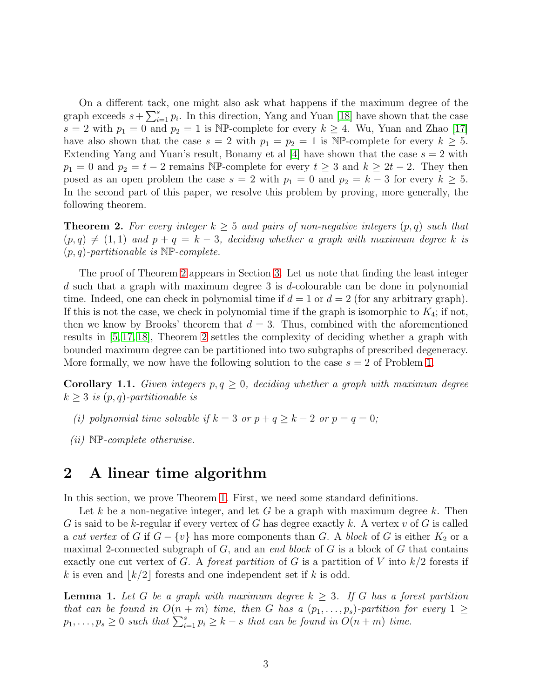On a different tack, one might also ask what happens if the maximum degree of the graph exceeds  $s + \sum_{i=1}^{s} p_i$ . In this direction, Yang and Yuan [\[18\]](#page-15-1) have shown that the case  $s = 2$  with  $p_1 = 0$  and  $p_2 = 1$  is NP-complete for every  $k \geq 4$ . Wu, Yuan and Zhao [\[17\]](#page-15-2) have also shown that the case  $s = 2$  with  $p_1 = p_2 = 1$  is NP-complete for every  $k \geq 5$ . Extending Yang and Yuan's result, Bonamy et al [\[4\]](#page-14-10) have shown that the case  $s = 2$  with  $p_1 = 0$  and  $p_2 = t - 2$  remains NP-complete for every  $t \geq 3$  and  $k \geq 2t - 2$ . They then posed as an open problem the case  $s = 2$  with  $p_1 = 0$  and  $p_2 = k - 3$  for every  $k \geq 5$ . In the second part of this paper, we resolve this problem by proving, more generally, the following theorem.

<span id="page-2-1"></span>**Theorem 2.** For every integer  $k \geq 5$  and pairs of non-negative integers  $(p, q)$  such that  $(p, q) \neq (1, 1)$  and  $p + q = k - 3$ , deciding whether a graph with maximum degree k is (p, q)*-partitionable is* NP*-complete.*

The proof of Theorem [2](#page-2-1) appears in Section [3.](#page-6-0) Let us note that finding the least integer  $d$  such that a graph with maximum degree 3 is  $d$ -colourable can be done in polynomial time. Indeed, one can check in polynomial time if  $d = 1$  or  $d = 2$  (for any arbitrary graph). If this is not the case, we check in polynomial time if the graph is isomorphic to  $K_4$ ; if not, then we know by Brooks' theorem that  $d = 3$ . Thus, combined with the aforementioned results in [\[5,](#page-14-4) [17,](#page-15-2) [18\]](#page-15-1), Theorem [2](#page-2-1) settles the complexity of deciding whether a graph with bounded maximum degree can be partitioned into two subgraphs of prescribed degeneracy. More formally, we now have the following solution to the case  $s = 2$  of Problem [1.](#page-1-0)

**Corollary 1.1.** *Given integers*  $p, q \geq 0$ *, deciding whether a graph with maximum degree*  $k \geq 3$  *is*  $(p, q)$ -partitionable is

- *(i) polynomial time solvable if*  $k = 3$  *or*  $p + q \geq k 2$  *or*  $p = q = 0$ ;
- *(ii)* NP*-complete otherwise.*

### <span id="page-2-0"></span>2 A linear time algorithm

In this section, we prove Theorem [1.](#page-1-1) First, we need some standard definitions.

Let k be a non-negative integer, and let G be a graph with maximum degree k. Then G is said to be k-regular if every vertex of G has degree exactly k. A vertex v of G is called a *cut vertex* of G if  $G - \{v\}$  has more components than G. A *block* of G is either  $K_2$  or a maximal 2-connected subgraph of G, and an *end block* of G is a block of G that contains exactly one cut vertex of G. A *forest partition* of G is a partition of V into  $k/2$  forests if k is even and  $\lfloor k/2 \rfloor$  forests and one independent set if k is odd.

<span id="page-2-2"></span>**Lemma 1.** Let G be a graph with maximum degree  $k \geq 3$ . If G has a forest partition *that can be found in*  $O(n + m)$  *time, then* G *has a*  $(p_1, \ldots, p_s)$ -partition for every  $1 \geq$  $p_1, \ldots, p_s \geq 0$  such that  $\sum_{i=1}^s p_i \geq k-s$  that can be found in  $O(n+m)$  time.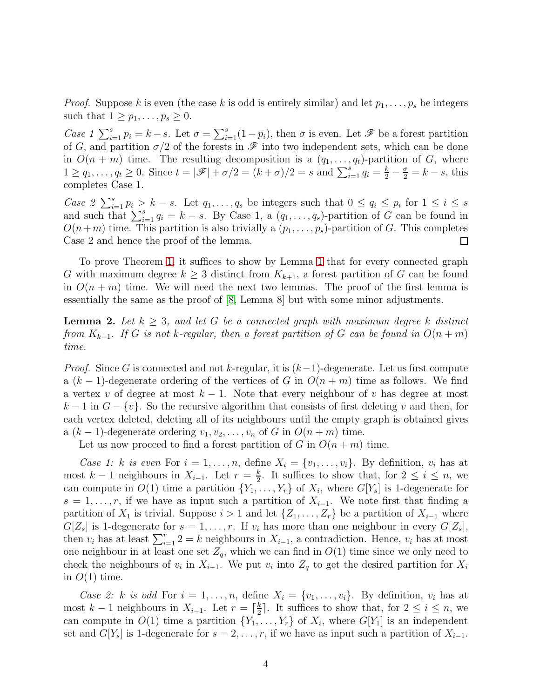*Proof.* Suppose k is even (the case k is odd is entirely similar) and let  $p_1, \ldots, p_s$  be integers such that  $1 \geq p_1, \ldots, p_s \geq 0$ .

*Case 1*  $\sum_{i=1}^{s} p_i = k - s$ . Let  $\sigma = \sum_{i=1}^{s} (1 - p_i)$ , then  $\sigma$  is even. Let  $\mathscr F$  be a forest partition of G, and partition  $\sigma/2$  of the forests in  $\mathscr F$  into two independent sets, which can be done in  $O(n + m)$  time. The resulting decomposition is a  $(q_1, \ldots, q_t)$ -partition of G, where  $1 \ge q_1, \ldots, q_t \ge 0$ . Since  $t = |\mathscr{F}| + \sigma/2 = (k+\sigma)/2 = s$  and  $\sum_{i=1}^{s} q_i = \frac{k}{2} - \frac{\sigma}{2} = k - s$ , this completes Case 1.

*Case 2*  $\sum_{i=1}^{s} p_i > k - s$ . Let  $q_1, \ldots, q_s$  be integers such that  $0 \le q_i \le p_i$  for  $1 \le i \le s$ and such that  $\sum_{i=1}^{s} q_i = k - s$ . By Case 1, a  $(q_1, \ldots, q_s)$ -partition of G can be found in  $O(n+m)$  time. This partition is also trivially a  $(p_1, \ldots, p_s)$ -partition of G. This completes Case 2 and hence the proof of the lemma. 口

To prove Theorem [1,](#page-1-1) it suffices to show by Lemma [1](#page-2-2) that for every connected graph G with maximum degree  $k \geq 3$  distinct from  $K_{k+1}$ , a forest partition of G can be found in  $O(n+m)$  time. We will need the next two lemmas. The proof of the first lemma is essentially the same as the proof of [\[8,](#page-14-11) Lemma 8] but with some minor adjustments.

<span id="page-3-0"></span>**Lemma 2.** Let  $k \geq 3$ , and let G be a connected graph with maximum degree k distinct *from*  $K_{k+1}$ *. If* G *is not* k-regular, then a forest partition of G can be found in  $O(n+m)$ *time.*

*Proof.* Since G is connected and not k-regular, it is  $(k-1)$ -degenerate. Let us first compute a  $(k-1)$ -degenerate ordering of the vertices of G in  $O(n+m)$  time as follows. We find a vertex v of degree at most  $k - 1$ . Note that every neighbour of v has degree at most  $k-1$  in  $G - \{v\}$ . So the recursive algorithm that consists of first deleting v and then, for each vertex deleted, deleting all of its neighbours until the empty graph is obtained gives a  $(k-1)$ -degenerate ordering  $v_1, v_2, \ldots, v_n$  of G in  $O(n+m)$  time.

Let us now proceed to find a forest partition of G in  $O(n+m)$  time.

*Case 1:* k *is even* For  $i = 1, \ldots, n$ , define  $X_i = \{v_1, \ldots, v_i\}$ . By definition,  $v_i$  has at most  $k-1$  neighbours in  $X_{i-1}$ . Let  $r=\frac{k}{2}$  $\frac{k}{2}$ . It suffices to show that, for  $2 \leq i \leq n$ , we can compute in  $O(1)$  time a partition  $\{Y_1, \ldots, Y_r\}$  of  $X_i$ , where  $G[Y_s]$  is 1-degenerate for  $s = 1, \ldots, r$ , if we have as input such a partition of  $X_{i-1}$ . We note first that finding a partition of  $X_1$  is trivial. Suppose  $i > 1$  and let  $\{Z_1, \ldots, Z_r\}$  be a partition of  $X_{i-1}$  where  $G[Z_s]$  is 1-degenerate for  $s = 1, \ldots, r$ . If  $v_i$  has more than one neighbour in every  $G[Z_s]$ , then  $v_i$  has at least  $\sum_{i=1}^r 2 = k$  neighbours in  $X_{i-1}$ , a contradiction. Hence,  $v_i$  has at most one neighbour in at least one set  $Z_q$ , which we can find in  $O(1)$  time since we only need to check the neighbours of  $v_i$  in  $X_{i-1}$ . We put  $v_i$  into  $Z_q$  to get the desired partition for  $X_i$ in  $O(1)$  time.

*Case 2:* k *is odd* For  $i = 1, \ldots, n$ , define  $X_i = \{v_1, \ldots, v_i\}$ . By definition,  $v_i$  has at most  $k-1$  neighbours in  $X_{i-1}$ . Let  $r = \lceil \frac{k}{2} \rceil$  $\frac{k}{2}$ . It suffices to show that, for  $2 \leq i \leq n$ , we can compute in  $O(1)$  time a partition  $\{Y_1, \ldots, Y_r\}$  of  $X_i$ , where  $G[Y_1]$  is an independent set and  $G[Y_s]$  is 1-degenerate for  $s = 2, \ldots, r$ , if we have as input such a partition of  $X_{i-1}$ .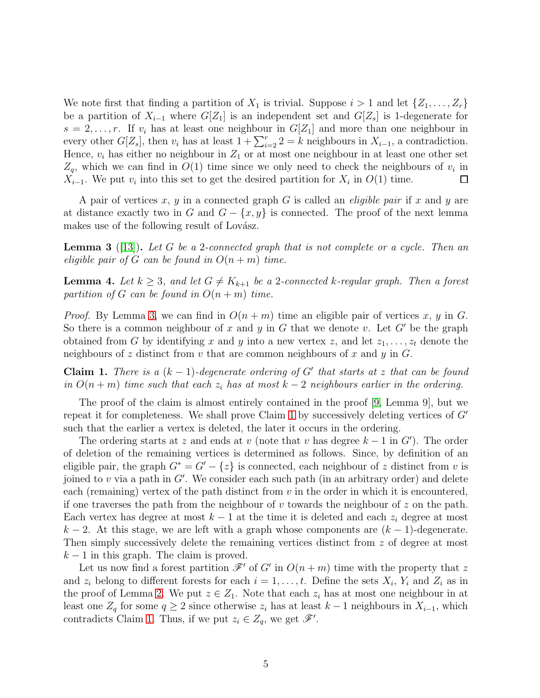We note first that finding a partition of  $X_1$  is trivial. Suppose  $i > 1$  and let  $\{Z_1, \ldots, Z_r\}$ be a partition of  $X_{i-1}$  where  $G[Z_1]$  is an independent set and  $G[Z_s]$  is 1-degenerate for  $s = 2, \ldots, r$ . If  $v_i$  has at least one neighbour in  $G[Z_1]$  and more than one neighbour in every other  $G[Z_s]$ , then  $v_i$  has at least  $1 + \sum_{i=2}^r 2 = k$  neighbours in  $X_{i-1}$ , a contradiction. Hence,  $v_i$  has either no neighbour in  $Z_1$  or at most one neighbour in at least one other set  $Z_q$ , which we can find in  $O(1)$  time since we only need to check the neighbours of  $v_i$  in  $X_{i-1}$ . We put  $v_i$  into this set to get the desired partition for  $X_i$  in  $O(1)$  time.  $\Box$ 

A pair of vertices x, y in a connected graph G is called an *eligible pair* if x and y are at distance exactly two in G and  $G - \{x, y\}$  is connected. The proof of the next lemma makes use of the following result of Lovász.

<span id="page-4-0"></span>Lemma 3 ([\[13\]](#page-14-6)). *Let* G *be a* 2*-connected graph that is not complete or a cycle. Then an eligible pair of* G *can be found in*  $O(n+m)$  *time.* 

<span id="page-4-2"></span>**Lemma 4.** Let  $k \geq 3$ , and let  $G \neq K_{k+1}$  be a 2*-connected* k-regular graph. Then a forest *partition of* G *can be found in*  $O(n+m)$  *time.* 

*Proof.* By Lemma [3,](#page-4-0) we can find in  $O(n+m)$  time an eligible pair of vertices x, y in G. So there is a common neighbour of x and y in G that we denote v. Let  $G'$  be the graph obtained from G by identifying x and y into a new vertex z, and let  $z_1, \ldots, z_t$  denote the neighbours of z distinct from v that are common neighbours of x and y in  $G$ .

<span id="page-4-1"></span>**Claim 1.** *There is a*  $(k-1)$ *-degenerate ordering of* G' *that starts at* z *that can be found in*  $O(n+m)$  *time such that each*  $z_i$  *has at most*  $k-2$  *neighbours earlier in the ordering.* 

The proof of the claim is almost entirely contained in the proof [\[9,](#page-14-12) Lemma 9], but we repeat it for completeness. We shall prove Claim [1](#page-4-1) by successively deleting vertices of  $G'$ such that the earlier a vertex is deleted, the later it occurs in the ordering.

The ordering starts at z and ends at v (note that v has degree  $k-1$  in  $G'$ ). The order of deletion of the remaining vertices is determined as follows. Since, by definition of an eligible pair, the graph  $G^* = G' - \{z\}$  is connected, each neighbour of z distinct from v is joined to  $v$  via a path in  $G'$ . We consider each such path (in an arbitrary order) and delete each (remaining) vertex of the path distinct from  $v$  in the order in which it is encountered, if one traverses the path from the neighbour of  $v$  towards the neighbour of  $z$  on the path. Each vertex has degree at most  $k - 1$  at the time it is deleted and each  $z_i$  degree at most  $k-2$ . At this stage, we are left with a graph whose components are  $(k-1)$ -degenerate. Then simply successively delete the remaining vertices distinct from z of degree at most  $k-1$  in this graph. The claim is proved.

Let us now find a forest partition  $\mathscr{F}'$  of G' in  $O(n+m)$  time with the property that z and  $z_i$  belong to different forests for each  $i = 1, \ldots, t$ . Define the sets  $X_i, Y_i$  and  $Z_i$  as in the proof of Lemma [2.](#page-3-0) We put  $z \in Z_1$ . Note that each  $z_i$  has at most one neighbour in at least one  $Z_q$  for some  $q \geq 2$  since otherwise  $z_i$  has at least  $k-1$  neighbours in  $X_{i-1}$ , which contradicts Claim [1.](#page-4-1) Thus, if we put  $z_i \in Z_q$ , we get  $\mathscr{F}'$ .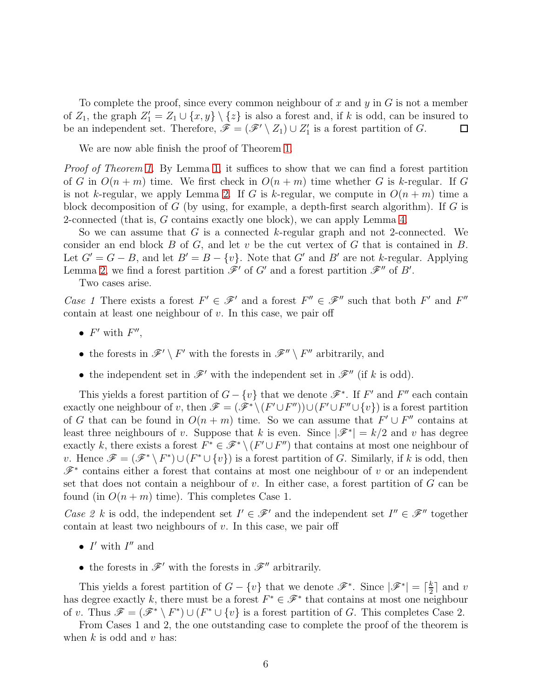To complete the proof, since every common neighbour of x and y in  $G$  is not a member of  $Z_1$ , the graph  $Z_1' = Z_1 \cup \{x, y\} \setminus \{z\}$  is also a forest and, if k is odd, can be insured to be an independent set. Therefore,  $\mathscr{F} = (\mathscr{F}' \setminus Z_1) \cup Z'_1$  $'_{1}$  is a forest partition of  $G$ .  $\Box$ 

We are now able finish the proof of Theorem [1.](#page-1-1)

*Proof of Theorem [1.](#page-1-1)* By Lemma [1,](#page-2-2) it suffices to show that we can find a forest partition of G in  $O(n+m)$  time. We first check in  $O(n+m)$  time whether G is k-regular. If G is not k-regular, we apply Lemma [2.](#page-3-0) If G is k-regular, we compute in  $O(n+m)$  time a block decomposition of G (by using, for example, a depth-first search algorithm). If G is 2-connected (that is, G contains exactly one block), we can apply Lemma [4.](#page-4-2)

So we can assume that G is a connected k-regular graph and not 2-connected. We consider an end block  $B$  of  $G$ , and let  $v$  be the cut vertex of  $G$  that is contained in  $B$ . Let  $G' = G - B$ , and let  $B' = B - \{v\}$ . Note that G' and B' are not k-regular. Applying Lemma [2,](#page-3-0) we find a forest partition  $\mathscr{F}'$  of G' and a forest partition  $\mathscr{F}''$  of B'.

Two cases arise.

*Case 1* There exists a forest  $F' \in \mathscr{F}'$  and a forest  $F'' \in \mathscr{F}''$  such that both  $F'$  and  $F''$ contain at least one neighbour of  $v$ . In this case, we pair off

- $F'$  with  $F''$ ,
- the forests in  $\mathscr{F}' \setminus F'$  with the forests in  $\mathscr{F}'' \setminus F''$  arbitrarily, and
- the independent set in  $\mathscr{F}'$  with the independent set in  $\mathscr{F}''$  (if k is odd).

This yields a forest partition of  $G - \{v\}$  that we denote  $\mathscr{F}^*$ . If  $F'$  and  $F''$  each contain exactly one neighbour of v, then  $\mathscr{F} = (\mathscr{F}^* \setminus (F' \cup F'')) \cup (F' \cup F'' \cup \{v\})$  is a forest partition of G that can be found in  $O(n+m)$  time. So we can assume that  $F' \cup F''$  contains at least three neighbours of v. Suppose that k is even. Since  $|\mathscr{F}^*| = k/2$  and v has degree exactly k, there exists a forest  $F^* \in \mathscr{F}^* \setminus (F' \cup F'')$  that contains at most one neighbour of v. Hence  $\mathscr{F} = (\mathscr{F}^* \setminus F^*) \cup (F^* \cup \{v\})$  is a forest partition of G. Similarly, if k is odd, then  $\mathscr{F}^*$  contains either a forest that contains at most one neighbour of v or an independent set that does not contain a neighbour of  $v$ . In either case, a forest partition of  $G$  can be found (in  $O(n+m)$  time). This completes Case 1.

*Case 2 k* is odd, the independent set  $I' \in \mathcal{F}'$  and the independent set  $I'' \in \mathcal{F}''$  together contain at least two neighbours of  $v$ . In this case, we pair off

- $\bullet$   $\ I'$  with  $\ I''$  and
- the forests in  $\mathscr{F}'$  with the forests in  $\mathscr{F}''$  arbitrarily.

This yields a forest partition of  $G - \{v\}$  that we denote  $\mathscr{F}^*$ . Since  $|\mathscr{F}^*| = \lceil \frac{k}{2} \rceil$  $\frac{k}{2}$  and v has degree exactly k, there must be a forest  $F^* \in \mathcal{F}^*$  that contains at most one neighbour of v. Thus  $\mathscr{F} = (\mathscr{F}^* \setminus F^*) \cup (F^* \cup \{v\})$  is a forest partition of G. This completes Case 2.

From Cases 1 and 2, the one outstanding case to complete the proof of the theorem is when  $k$  is odd and  $v$  has: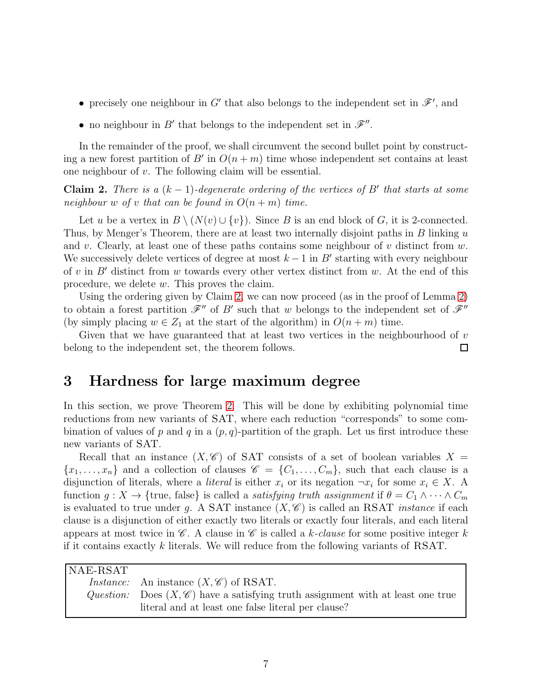- precisely one neighbour in  $G'$  that also belongs to the independent set in  $\mathscr{F}'$ , and
- no neighbour in  $B'$  that belongs to the independent set in  $\mathscr{F}''$ .

In the remainder of the proof, we shall circumvent the second bullet point by constructing a new forest partition of B' in  $O(n+m)$  time whose independent set contains at least one neighbour of v. The following claim will be essential.

<span id="page-6-1"></span>**Claim 2.** *There is a*  $(k-1)$ -degenerate ordering of the vertices of B' that starts at some *neighbour* w of v that can be found in  $O(n+m)$  time.

Let u be a vertex in  $B \setminus (N(v) \cup \{v\})$ . Since B is an end block of G, it is 2-connected. Thus, by Menger's Theorem, there are at least two internally disjoint paths in B linking u and v. Clearly, at least one of these paths contains some neighbour of  $v$  distinct from  $w$ . We successively delete vertices of degree at most  $k-1$  in B' starting with every neighbour of v in  $B'$  distinct from w towards every other vertex distinct from w. At the end of this procedure, we delete w. This proves the claim.

Using the ordering given by Claim [2,](#page-6-1) we can now proceed (as in the proof of Lemma [2\)](#page-3-0) to obtain a forest partition  $\mathscr{F}''$  of B' such that w belongs to the independent set of  $\mathscr{F}''$ (by simply placing  $w \in Z_1$  at the start of the algorithm) in  $O(n+m)$  time.

Given that we have guaranteed that at least two vertices in the neighbourhood of  $v$ belong to the independent set, the theorem follows.  $\Box$ 

# <span id="page-6-0"></span>3 Hardness for large maximum degree

In this section, we prove Theorem [2.](#page-2-1) This will be done by exhibiting polynomial time reductions from new variants of SAT, where each reduction "corresponds" to some combination of values of p and q in a  $(p, q)$ -partition of the graph. Let us first introduce these new variants of SAT.

Recall that an instance  $(X, \mathscr{C})$  of SAT consists of a set of boolean variables  $X =$  ${x_1, \ldots, x_n}$  and a collection of clauses  $\mathscr{C} = \{C_1, \ldots, C_m\}$ , such that each clause is a disjunction of literals, where a *literal* is either  $x_i$  or its negation  $\neg x_i$  for some  $x_i \in X$ . A function  $g: X \to \{true, false\}$  is called a *satisfying truth assignment* if  $\theta = C_1 \wedge \cdots \wedge C_m$ is evaluated to true under g. A SAT instance  $(X, \mathscr{C})$  is called an RSAT *instance* if each clause is a disjunction of either exactly two literals or exactly four literals, and each literal appears at most twice in  $\mathscr C$ . A clause in  $\mathscr C$  is called a k-clause for some positive integer k if it contains exactly k literals. We will reduce from the following variants of RSAT.

| $\overline{\rm NAE\text{-}RSAT}$ |                                                                                             |
|----------------------------------|---------------------------------------------------------------------------------------------|
|                                  | <i>Instance:</i> An instance $(X, \mathscr{C})$ of RSAT.                                    |
|                                  | Question: Does $(X, \mathscr{C})$ have a satisfying truth assignment with at least one true |
|                                  | literal and at least one false literal per clause?                                          |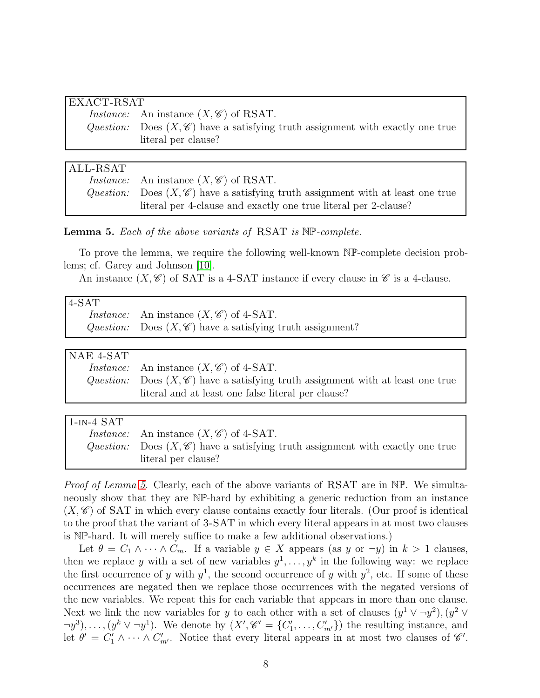| EXACT-RSAT |                                                                                            |  |
|------------|--------------------------------------------------------------------------------------------|--|
|            | <i>Instance:</i> An instance $(X, \mathscr{C})$ of RSAT.                                   |  |
|            | Question: Does $(X, \mathscr{C})$ have a satisfying truth assignment with exactly one true |  |
|            | literal per clause?                                                                        |  |

### ALL-RSAT

| <i>Instance:</i> An instance $(X, \mathscr{C})$ of RSAT.                                    |
|---------------------------------------------------------------------------------------------|
| Question: Does $(X, \mathscr{C})$ have a satisfying truth assignment with at least one true |
| literal per 4-clause and exactly one true literal per 2-clause?                             |

<span id="page-7-0"></span>Lemma 5. *Each of the above variants of* RSAT *is* NP*-complete.*

To prove the lemma, we require the following well-known NP-complete decision problems; cf. Garey and Johnson [\[10\]](#page-14-13).

An instance  $(X, \mathscr{C})$  of SAT is a 4-SAT instance if every clause in  $\mathscr{C}$  is a 4-clause.

| $4-SAT$ |                                                                       |
|---------|-----------------------------------------------------------------------|
|         | <i>Instance:</i> An instance $(X, \mathscr{C})$ of 4-SAT.             |
|         | Question: Does $(X, \mathscr{C})$ have a satisfying truth assignment? |

| NAE 4-SAT |                                                                                             |
|-----------|---------------------------------------------------------------------------------------------|
|           | <i>Instance:</i> An instance $(X, \mathscr{C})$ of 4-SAT.                                   |
|           | Question: Does $(X, \mathscr{C})$ have a satisfying truth assignment with at least one true |
|           | literal and at least one false literal per clause?                                          |

| $1$ -IN- $4$ SAT |                                                                                            |
|------------------|--------------------------------------------------------------------------------------------|
|                  | <i>Instance:</i> An instance $(X, \mathscr{C})$ of 4-SAT.                                  |
|                  | Question: Does $(X, \mathscr{C})$ have a satisfying truth assignment with exactly one true |
|                  | literal per clause?                                                                        |

*Proof of Lemma [5.](#page-7-0)* Clearly, each of the above variants of RSAT are in NP. We simultaneously show that they are NP-hard by exhibiting a generic reduction from an instance  $(X, \mathscr{C})$  of SAT in which every clause contains exactly four literals. (Our proof is identical to the proof that the variant of 3-SAT in which every literal appears in at most two clauses is NP-hard. It will merely suffice to make a few additional observations.)

Let  $\theta = C_1 \wedge \cdots \wedge C_m$ . If a variable  $y \in X$  appears (as y or  $\neg y$ ) in  $k > 1$  clauses, then we replace y with a set of new variables  $y^1, \ldots, y^k$  in the following way: we replace the first occurrence of y with  $y^1$ , the second occurrence of y with  $y^2$ , etc. If some of these occurrences are negated then we replace those occurrences with the negated versions of the new variables. We repeat this for each variable that appears in more than one clause. Next we link the new variables for y to each other with a set of clauses  $(y^1 \vee \neg y^2), (y^2 \vee \neg y^2)$  $(\neg y^3), \dots, (y^k \vee \neg y^1)$ . We denote by  $(X', \mathscr{C}' = \{C'_1\})$  $\{1', \ldots, C'_{m'}\}$  the resulting instance, and let  $\theta' = C_1' \wedge \cdots \wedge C_{m'}'$ . Notice that every literal appears in at most two clauses of  $\mathscr{C}'$ .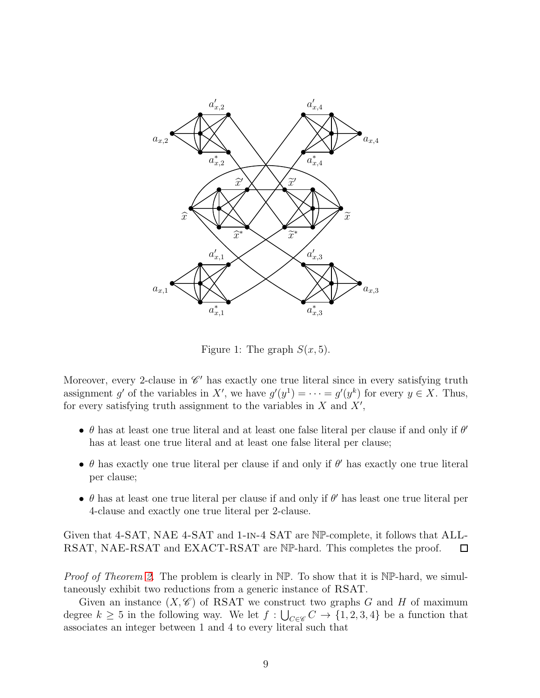

<span id="page-8-0"></span>Figure 1: The graph  $S(x, 5)$ .

Moreover, every 2-clause in  $\mathscr{C}'$  has exactly one true literal since in every satisfying truth assignment g' of the variables in X', we have  $g'(y^1) = \cdots = g'(y^k)$  for every  $y \in X$ . Thus, for every satisfying truth assignment to the variables in  $X$  and  $X'$ ,

- $\theta$  has at least one true literal and at least one false literal per clause if and only if  $\theta'$ has at least one true literal and at least one false literal per clause;
- $\theta$  has exactly one true literal per clause if and only if  $\theta'$  has exactly one true literal per clause;
- $\bullet$   $\theta$  has at least one true literal per clause if and only if  $\theta'$  has least one true literal per 4-clause and exactly one true literal per 2-clause.

Given that 4-SAT, NAE 4-SAT and 1-in-4 SAT are NP-complete, it follows that ALL-RSAT, NAE-RSAT and EXACT-RSAT are NP-hard. This completes the proof.  $\Box$ 

*Proof of Theorem [2.](#page-2-1)* The problem is clearly in NP. To show that it is NP-hard, we simultaneously exhibit two reductions from a generic instance of RSAT.

Given an instance  $(X, \mathscr{C})$  of RSAT we construct two graphs G and H of maximum degree  $k \geq 5$  in the following way. We let  $f: \bigcup_{C \in \mathscr{C}} C \to \{1, 2, 3, 4\}$  be a function that associates an integer between 1 and 4 to every literal such that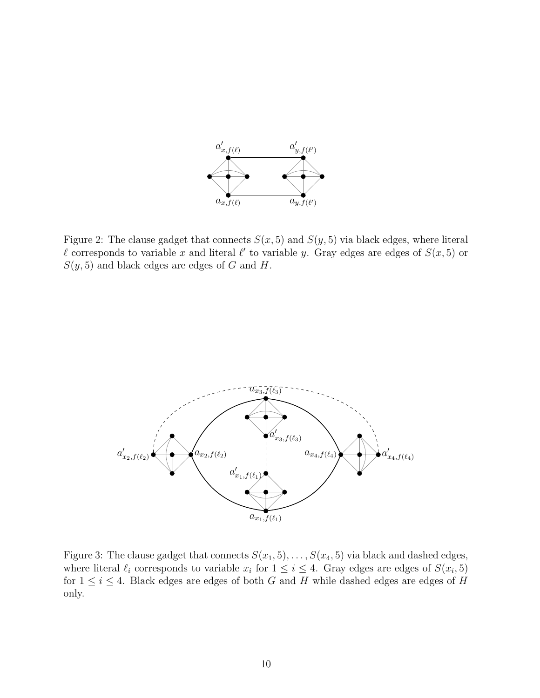

<span id="page-9-0"></span>Figure 2: The clause gadget that connects  $S(x, 5)$  and  $S(y, 5)$  via black edges, where literal l corresponds to variable x and literal l' to variable y. Gray edges are edges of  $S(x,5)$  or  $S(y, 5)$  and black edges are edges of G and H.



<span id="page-9-1"></span>Figure 3: The clause gadget that connects  $S(x_1, 5), \ldots, S(x_4, 5)$  via black and dashed edges, where literal  $\ell_i$  corresponds to variable  $x_i$  for  $1 \leq i \leq 4$ . Gray edges are edges of  $S(x_i, 5)$ for  $1 \leq i \leq 4$ . Black edges are edges of both G and H while dashed edges are edges of H only.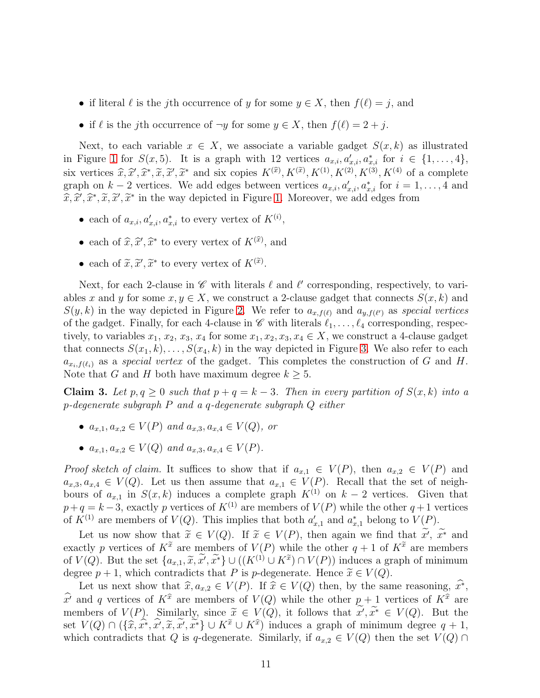- if literal  $\ell$  is the j<sup>th</sup> occurrence of y for some  $y \in X$ , then  $f(\ell) = j$ , and
- if  $\ell$  is the jth occurrence of  $\neg y$  for some  $y \in X$ , then  $f(\ell) = 2 + j$ .

Next, to each variable  $x \in X$ , we associate a variable gadget  $S(x, k)$  as illustrated in Figure [1](#page-8-0) for  $S(x,5)$ . It is a graph with 12 vertices  $a_{x,i}, a'_{x,i}, a^*_{x,i}$  for  $i \in \{1,\ldots,4\}$ , six vertices  $\widehat{x}, \widehat{x}', \widehat{x}^*, \widetilde{x}, \widetilde{x}'$  and six copies  $K^{(\widehat{x})}, K^{(\widehat{x})}, K^{(1)}, K^{(2)}, K^{(3)}, K^{(4)}$  of a complete graph on  $k-2$  vertices. We add edges between vertices  $a_{x,i}, a'_{x,i}, a^*_{x,i}$  for  $i = 1, \ldots, 4$  and  $\widehat{x}, \widehat{x}', \widehat{x}^*, \widetilde{x}, \widetilde{x}'$  in the way depicted in Figure [1.](#page-8-0) Moreover, we add edges from

- each of  $a_{x,i}, a'_{x,i}, a^*_{x,i}$  to every vertex of  $K^{(i)}$ ,
- each of  $\widehat{x}, \widehat{x}', \widehat{x}^*$  to every vertex of  $K^{(\widehat{x})}$ , and
- each of  $\widetilde{x}, \widetilde{x}', \widetilde{x}^*$  to every vertex of  $K^{(\widetilde{x})}$ .

Next, for each 2-clause in  $\mathscr C$  with literals  $\ell$  and  $\ell'$  corresponding, respectively, to variables x and y for some  $x, y \in X$ , we construct a 2-clause gadget that connects  $S(x, k)$  and  $S(y, k)$  in the way depicted in Figure [2.](#page-9-0) We refer to  $a_{x,f(\ell)}$  and  $a_{y,f(\ell')}$  as *special vertices* of the gadget. Finally, for each 4-clause in  $\mathscr C$  with literals  $\ell_1, \ldots, \ell_4$  corresponding, respectively, to variables  $x_1, x_2, x_3, x_4$  for some  $x_1, x_2, x_3, x_4 \in X$ , we construct a 4-clause gadget that connects  $S(x_1, k), \ldots, S(x_4, k)$  in the way depicted in Figure [3.](#page-9-1) We also refer to each  $a_{x_i,f(\ell_i)}$  as a *special vertex* of the gadget. This completes the construction of G and H. Note that G and H both have maximum degree  $k \geq 5$ .

<span id="page-10-0"></span>Claim 3. Let  $p, q \geq 0$  such that  $p + q = k - 3$ . Then in every partition of  $S(x, k)$  into a p*-degenerate subgraph* P *and a* q*-degenerate subgraph* Q *either*

- $a_{x,1}, a_{x,2} \in V(P)$  *and*  $a_{x,3}, a_{x,4} \in V(Q)$ *, or*
- $a_{x,1}, a_{x,2} \in V(Q)$  *and*  $a_{x,3}, a_{x,4} \in V(P)$ *.*

*Proof sketch of claim.* It suffices to show that if  $a_{x,1} \in V(P)$ , then  $a_{x,2} \in V(P)$  and  $a_{x,3}, a_{x,4} \in V(Q)$ . Let us then assume that  $a_{x,1} \in V(P)$ . Recall that the set of neighbours of  $a_{x,1}$  in  $S(x, k)$  induces a complete graph  $K^{(1)}$  on  $k-2$  vertices. Given that  $p+q = k-3$ , exactly p vertices of  $K^{(1)}$  are members of  $V(P)$  while the other  $q+1$  vertices of  $K^{(1)}$  are members of  $V(Q)$ . This implies that both  $a'_{x,1}$  and  $a^*_{x,1}$  belong to  $V(P)$ .

Let us now show that  $\tilde{x} \in V(Q)$ . If  $\tilde{x} \in V(P)$ , then again we find that  $x'$ ,  $\tilde{x}^*$  and exactly p vertices of  $K^{\tilde{x}}$  are members of  $V(P)$  while the other  $q + 1$  of  $K^{\tilde{x}}$  are members of  $V(Q)$ . But the set  $\{a_{x,1}, \tilde{x}, \tilde{x'}, \tilde{x^*}\} \cup ((K^{(1)} \cup K^{\tilde{x}}) \cap V(P))$  induces a graph of minimum degree  $p + 1$ , which contradicts that P is p-degenerate. Hence  $\tilde{x} \in V(Q)$ .

Let us next show that  $\hat{x}, a_{x,2} \in V(P)$ . If  $\hat{x} \in V(Q)$  then, by the same reasoning,  $\hat{x^*}$ ,  $\hat{x}^i$  and q vertices of  $K^{\hat{x}}$  are members of  $V(Q)$  while the other  $p + 1$  vertices of  $K^{\hat{x}}$  are members of  $V(P)$ . Similarly, since  $\tilde{x} \in V(Q)$ , it follows that  $\tilde{x}', \tilde{x}^* \in V(Q)$ . But the set  $V(Q) \cap (\{\hat{x}, \hat{x^*}, \hat{x'}, \tilde{x}, \tilde{x'}, \tilde{x^*}\} \cup K^{\tilde{x}} \cup K^{\hat{x}})$  induces a graph of minimum degree  $q + 1$ , which contradicts that Q is q-degenerate. Similarly, if  $a_{x,2} \in V(Q)$  then the set  $V(Q) \cap$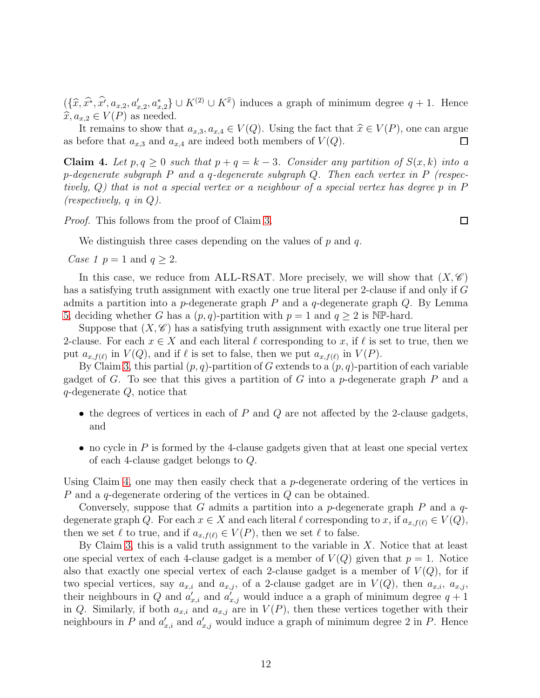$(\{\hat{x}, \hat{x^*}, \hat{x'}, a_{x,2}, a'_{x,2}, a_{x,2}^*\} \cup K^{(2)} \cup K^{\hat{x}})$  induces a graph of minimum degree  $q + 1$ . Hence  $\widehat{x}, a_{x,2} \in V(P)$  as needed.

It remains to show that  $a_{x,3}, a_{x,4} \in V(Q)$ . Using the fact that  $\hat{x} \in V(P)$ , one can argue before that  $a_{x,3}$  and  $a_{x,4}$  are indeed both members of  $V(Q)$ . as before that  $a_{x,3}$  and  $a_{x,4}$  are indeed both members of  $V(Q)$ .

<span id="page-11-0"></span>Claim 4. Let  $p, q \geq 0$  such that  $p + q = k - 3$ . Consider any partition of  $S(x, k)$  into a p*-degenerate subgraph* P *and a* q*-degenerate subgraph* Q*. Then each vertex in* P *(respectively,* Q*) that is not a special vertex or a neighbour of a special vertex has degree* p *in* P *(respectively,* q *in* Q*).*

*Proof.* This follows from the proof of Claim [3.](#page-10-0)

 $\Box$ 

We distinguish three cases depending on the values of  $p$  and  $q$ .

*Case 1*  $p = 1$  and  $q \ge 2$ .

In this case, we reduce from ALL-RSAT. More precisely, we will show that  $(X, \mathscr{C})$ has a satisfying truth assignment with exactly one true literal per 2-clause if and only if G admits a partition into a p-degenerate graph  $P$  and a q-degenerate graph  $Q$ . By Lemma [5,](#page-7-0) deciding whether G has a  $(p, q)$ -partition with  $p = 1$  and  $q \ge 2$  is NP-hard.

Suppose that  $(X, \mathscr{C})$  has a satisfying truth assignment with exactly one true literal per 2-clause. For each  $x \in X$  and each literal  $\ell$  corresponding to x, if  $\ell$  is set to true, then we put  $a_{x,f(\ell)}$  in  $V(Q)$ , and if  $\ell$  is set to false, then we put  $a_{x,f(\ell)}$  in  $V(P)$ .

By Claim [3,](#page-10-0) this partial  $(p, q)$ -partition of G extends to a  $(p, q)$ -partition of each variable gadget of G. To see that this gives a partition of G into a p-degenerate graph P and a q-degenerate Q, notice that

- the degrees of vertices in each of  $P$  and  $Q$  are not affected by the 2-clause gadgets, and
- no cycle in  $P$  is formed by the 4-clause gadgets given that at least one special vertex of each 4-clause gadget belongs to Q.

Using Claim [4,](#page-11-0) one may then easily check that a *p*-degenerate ordering of the vertices in P and a q-degenerate ordering of the vertices in Q can be obtained.

Conversely, suppose that G admits a partition into a p-degenerate graph P and a  $q$ degenerate graph Q. For each  $x \in X$  and each literal  $\ell$  corresponding to x, if  $a_{x,f(\ell)} \in V(Q)$ , then we set  $\ell$  to true, and if  $a_{x,f(\ell)} \in V(P)$ , then we set  $\ell$  to false.

By Claim [3,](#page-10-0) this is a valid truth assignment to the variable in  $X$ . Notice that at least one special vertex of each 4-clause gadget is a member of  $V(Q)$  given that  $p = 1$ . Notice also that exactly one special vertex of each 2-clause gadget is a member of  $V(Q)$ , for if two special vertices, say  $a_{x,i}$  and  $a_{x,j}$ , of a 2-clause gadget are in  $V(Q)$ , then  $a_{x,i}$ ,  $a_{x,j}$ , their neighbours in Q and  $a'_{x,i}$  and  $a'_{x,j}$  would induce a a graph of minimum degree  $q+1$ in Q. Similarly, if both  $a_{x,i}$  and  $a_{x,j}$  are in  $V(P)$ , then these vertices together with their neighbours in P and  $a'_{x,i}$  and  $a'_{x,j}$  would induce a graph of minimum degree 2 in P. Hence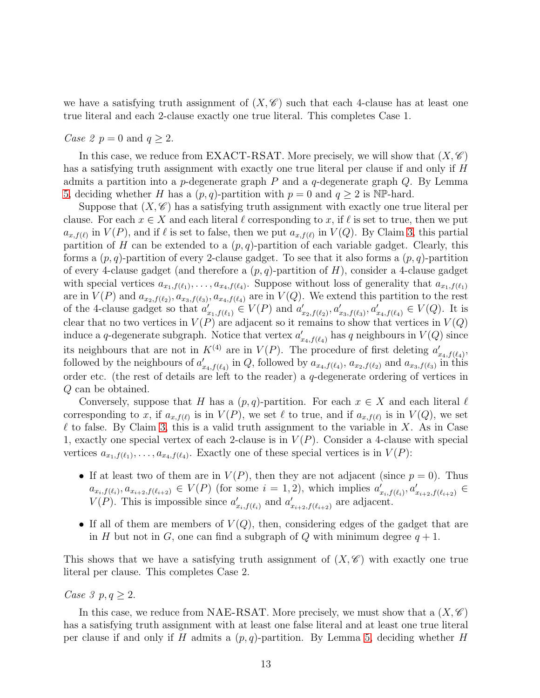we have a satisfying truth assignment of  $(X, \mathscr{C})$  such that each 4-clause has at least one true literal and each 2-clause exactly one true literal. This completes Case 1.

#### *Case 2*  $p = 0$  and  $q \ge 2$ .

In this case, we reduce from EXACT-RSAT. More precisely, we will show that  $(X, \mathscr{C})$ has a satisfying truth assignment with exactly one true literal per clause if and only if H admits a partition into a p-degenerate graph  $P$  and a  $q$ -degenerate graph  $Q$ . By Lemma [5,](#page-7-0) deciding whether H has a  $(p, q)$ -partition with  $p = 0$  and  $q \ge 2$  is NP-hard.

Suppose that  $(X, \mathscr{C})$  has a satisfying truth assignment with exactly one true literal per clause. For each  $x \in X$  and each literal  $\ell$  corresponding to x, if  $\ell$  is set to true, then we put  $a_{x,f(\ell)}$  in  $V(P)$ , and if  $\ell$  is set to false, then we put  $a_{x,f(\ell)}$  in  $V(Q)$ . By Claim [3,](#page-10-0) this partial partition of H can be extended to a  $(p, q)$ -partition of each variable gadget. Clearly, this forms a  $(p, q)$ -partition of every 2-clause gadget. To see that it also forms a  $(p, q)$ -partition of every 4-clause gadget (and therefore a  $(p, q)$ -partition of H), consider a 4-clause gadget with special vertices  $a_{x_1,f(\ell_1)},\ldots,a_{x_4,f(\ell_4)}$ . Suppose without loss of generality that  $a_{x_1,f(\ell_1)}$ are in  $V(P)$  and  $a_{x_2,f(\ell_2)}, a_{x_3,f(\ell_3)}, a_{x_4,f(\ell_4)}$  are in  $V(Q)$ . We extend this partition to the rest of the 4-clause gadget so that  $a'_{x_1,f(\ell_1)} \in V(P)$  and  $a'_{x_1,f(\ell_1)}$  $x'_{x_2,f(\ell_2)}, a'_{x_3,f(\ell_3)}, a'_{x_4,f(\ell_4)} \in V(Q)$ . It is clear that no two vertices in  $V(P)$  are adjacent so it remains to show that vertices in  $V(Q)$ induce a q-degenerate subgraph. Notice that vertex  $a'_{\sigma}$  $C'_{x_4,f(\ell_4)}$  has q neighbours in  $V(Q)$  since its neighbours that are not in  $K^{(4)}$  are in  $V(P)$ . The procedure of first deleting  $a'_{\sigma}$  $'_{x_4,f(\ell_4)},$ followed by the neighbours of  $a'_{i}$  $x_{4,f(\ell_4)}'$  in Q, followed by  $a_{x_4,f(\ell_4)}, a_{x_2,f(\ell_2)}$  and  $a_{x_3,f(\ell_3)}$  in this order etc. (the rest of details are left to the reader) a q-degenerate ordering of vertices in Q can be obtained.

Conversely, suppose that H has a  $(p, q)$ -partition. For each  $x \in X$  and each literal  $\ell$ corresponding to x, if  $a_{x,f(\ell)}$  is in  $V(P)$ , we set  $\ell$  to true, and if  $a_{x,f(\ell)}$  is in  $V(Q)$ , we set  $\ell$  to false. By Claim [3,](#page-10-0) this is a valid truth assignment to the variable in X. As in Case 1, exactly one special vertex of each 2-clause is in  $V(P)$ . Consider a 4-clause with special vertices  $a_{x_1,f(\ell_1)},\ldots,a_{x_4,f(\ell_4)}$ . Exactly one of these special vertices is in  $V(P)$ :

- If at least two of them are in  $V(P)$ , then they are not adjacent (since  $p = 0$ ). Thus  $a_{x_i,f(\ell_i)}, a_{x_{i+2},f(\ell_{i+2})} \in V(P)$  (for some  $i = 1, 2$ ), which implies  $a'_i$  $x_{i,f(\ell_i)}, a'_{x_{i+2},f(\ell_{i+2})} \in$  $V(P)$ . This is impossible since  $a'_{\sigma}$  $x_{i},f(\ell_{i})$  and  $a'_{i}$  $x_{i+2},f(\ell_{i+2})$  are adjacent.
- If all of them are members of  $V(Q)$ , then, considering edges of the gadget that are in H but not in G, one can find a subgraph of Q with minimum degree  $q + 1$ .

This shows that we have a satisfying truth assignment of  $(X, \mathscr{C})$  with exactly one true literal per clause. This completes Case 2.

### *Case 3*  $p, q \geq 2$ .

In this case, we reduce from NAE-RSAT. More precisely, we must show that a  $(X, \mathscr{C})$ has a satisfying truth assignment with at least one false literal and at least one true literal per clause if and only if H admits a  $(p, q)$ -partition. By Lemma [5,](#page-7-0) deciding whether H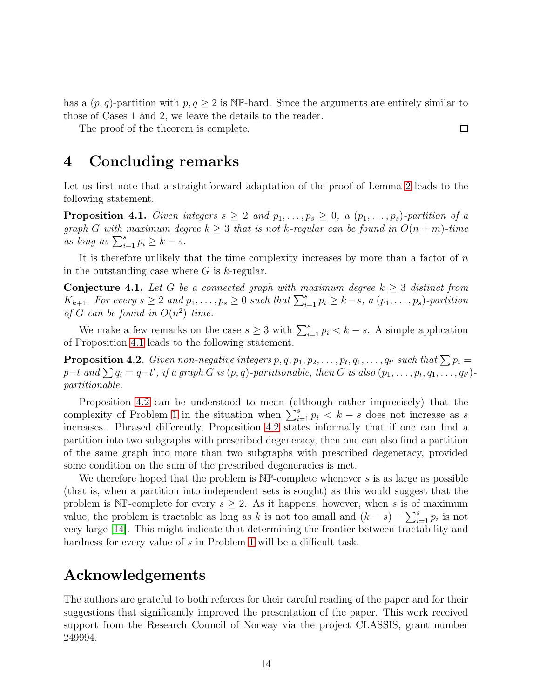has a  $(p, q)$ -partition with  $p, q \geq 2$  is NP-hard. Since the arguments are entirely similar to those of Cases 1 and 2, we leave the details to the reader.

The proof of the theorem is complete.

### 4 Concluding remarks

Let us first note that a straightforward adaptation of the proof of Lemma [2](#page-3-0) leads to the following statement.

<span id="page-13-0"></span>**Proposition 4.1.** *Given integers*  $s \geq 2$  *and*  $p_1, \ldots, p_s \geq 0$ , *a*  $(p_1, \ldots, p_s)$ *-partition of a graph* G with maximum degree  $k \geq 3$  *that is not* k*-regular can be found in*  $O(n + m)$ *-time*  $\sum_{i=1}^{s} p_i \geq k - s.$ 

It is therefore unlikely that the time complexity increases by more than a factor of  $n$ in the outstanding case where  $G$  is  $k$ -regular.

**Conjecture 4.1.** Let G be a connected graph with maximum degree  $k \geq 3$  distinct from  $K_{k+1}$ *. For every*  $s \geq 2$  *and*  $p_1, \ldots, p_s \geq 0$  *such that*  $\sum_{i=1}^s p_i \geq k-s$ , *a* ( $p_1, \ldots, p_s$ )-partition *of*  $G$  *can be found in*  $O(n^2)$  *time.* 

We make a few remarks on the case  $s \geq 3$  with  $\sum_{i=1}^{s} p_i < k - s$ . A simple application of Proposition [4.1](#page-13-0) leads to the following statement.

<span id="page-13-1"></span>**Proposition 4.2.** *Given non-negative integers*  $p, q, p_1, p_2, \ldots, p_t, q_1, \ldots, q_{t'}$  *such that*  $\sum p_i =$  $p-t$  and  $\sum q_i = q-t'$ , if a graph G is  $(p, q)$ *-partitionable, then* G is also  $(p_1, \ldots, p_t, q_1, \ldots, q_{t'})$ *partitionable.*

Proposition [4.2](#page-13-1) can be understood to mean (although rather imprecisely) that the complexity of Problem [1](#page-1-0) in the situation when  $\sum_{i=1}^{s} p_i < k - s$  does not increase as s increases. Phrased differently, Proposition [4.2](#page-13-1) states informally that if one can find a partition into two subgraphs with prescribed degeneracy, then one can also find a partition of the same graph into more than two subgraphs with prescribed degeneracy, provided some condition on the sum of the prescribed degeneracies is met.

We therefore hoped that the problem is  $NP$ -complete whenever s is as large as possible (that is, when a partition into independent sets is sought) as this would suggest that the problem is NP-complete for every  $s \geq 2$ . As it happens, however, when s is of maximum value, the problem is tractable as long as k is not too small and  $(k - s) - \sum_{i=1}^{s} p_i$  is not very large [\[14\]](#page-14-14). This might indicate that determining the frontier between tractability and hardness for every value of s in Problem [1](#page-1-0) will be a difficult task.

# Acknowledgements

The authors are grateful to both referees for their careful reading of the paper and for their suggestions that significantly improved the presentation of the paper. This work received support from the Research Council of Norway via the project CLASSIS, grant number 249994.

 $\Box$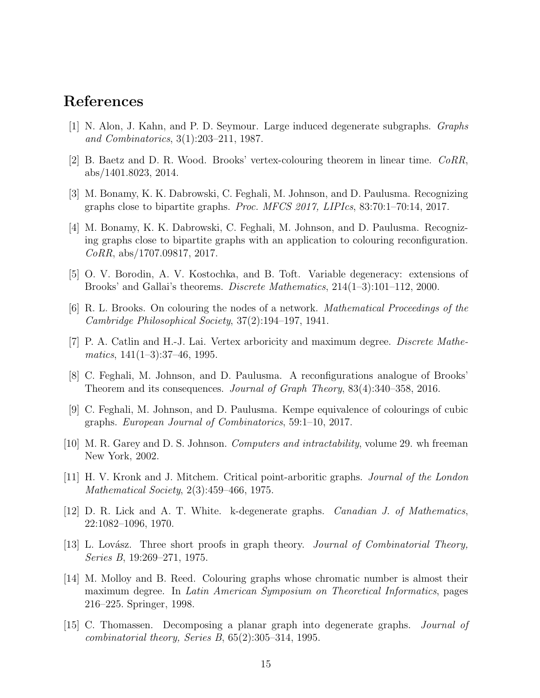## <span id="page-14-2"></span>References

- <span id="page-14-7"></span>[1] N. Alon, J. Kahn, and P. D. Seymour. Large induced degenerate subgraphs. *Graphs and Combinatorics*, 3(1):203–211, 1987.
- <span id="page-14-5"></span>[2] B. Baetz and D. R. Wood. Brooks' vertex-colouring theorem in linear time. *CoRR*, abs/1401.8023, 2014.
- <span id="page-14-10"></span>[3] M. Bonamy, K. K. Dabrowski, C. Feghali, M. Johnson, and D. Paulusma. Recognizing graphs close to bipartite graphs. *Proc. MFCS 2017, LIPIcs*, 83:70:1–70:14, 2017.
- [4] M. Bonamy, K. K. Dabrowski, C. Feghali, M. Johnson, and D. Paulusma. Recognizing graphs close to bipartite graphs with an application to colouring reconfiguration. *CoRR*, abs/1707.09817, 2017.
- <span id="page-14-4"></span><span id="page-14-3"></span>[5] O. V. Borodin, A. V. Kostochka, and B. Toft. Variable degeneracy: extensions of Brooks' and Gallai's theorems. *Discrete Mathematics*, 214(1–3):101–112, 2000.
- <span id="page-14-8"></span>[6] R. L. Brooks. On colouring the nodes of a network. *Mathematical Proceedings of the Cambridge Philosophical Society*, 37(2):194–197, 1941.
- [7] P. A. Catlin and H.-J. Lai. Vertex arboricity and maximum degree. *Discrete Mathematics*, 141(1–3):37–46, 1995.
- <span id="page-14-12"></span><span id="page-14-11"></span>[8] C. Feghali, M. Johnson, and D. Paulusma. A reconfigurations analogue of Brooks' Theorem and its consequences. *Journal of Graph Theory*, 83(4):340–358, 2016.
- <span id="page-14-13"></span>[9] C. Feghali, M. Johnson, and D. Paulusma. Kempe equivalence of colourings of cubic graphs. *European Journal of Combinatorics*, 59:1–10, 2017.
- <span id="page-14-9"></span>[10] M. R. Garey and D. S. Johnson. *Computers and intractability*, volume 29. wh freeman New York, 2002.
- [11] H. V. Kronk and J. Mitchem. Critical point-arboritic graphs. *Journal of the London Mathematical Society*, 2(3):459–466, 1975.
- <span id="page-14-0"></span>[12] D. R. Lick and A. T. White. k-degenerate graphs. *Canadian J. of Mathematics*, 22:1082–1096, 1970.
- <span id="page-14-14"></span><span id="page-14-6"></span>[13] L. Lovász. Three short proofs in graph theory. *Journal of Combinatorial Theory*, *Series B*, 19:269–271, 1975.
- [14] M. Molloy and B. Reed. Colouring graphs whose chromatic number is almost their maximum degree. In *Latin American Symposium on Theoretical Informatics*, pages 216–225. Springer, 1998.
- <span id="page-14-1"></span>[15] C. Thomassen. Decomposing a planar graph into degenerate graphs. *Journal of combinatorial theory, Series B*, 65(2):305–314, 1995.